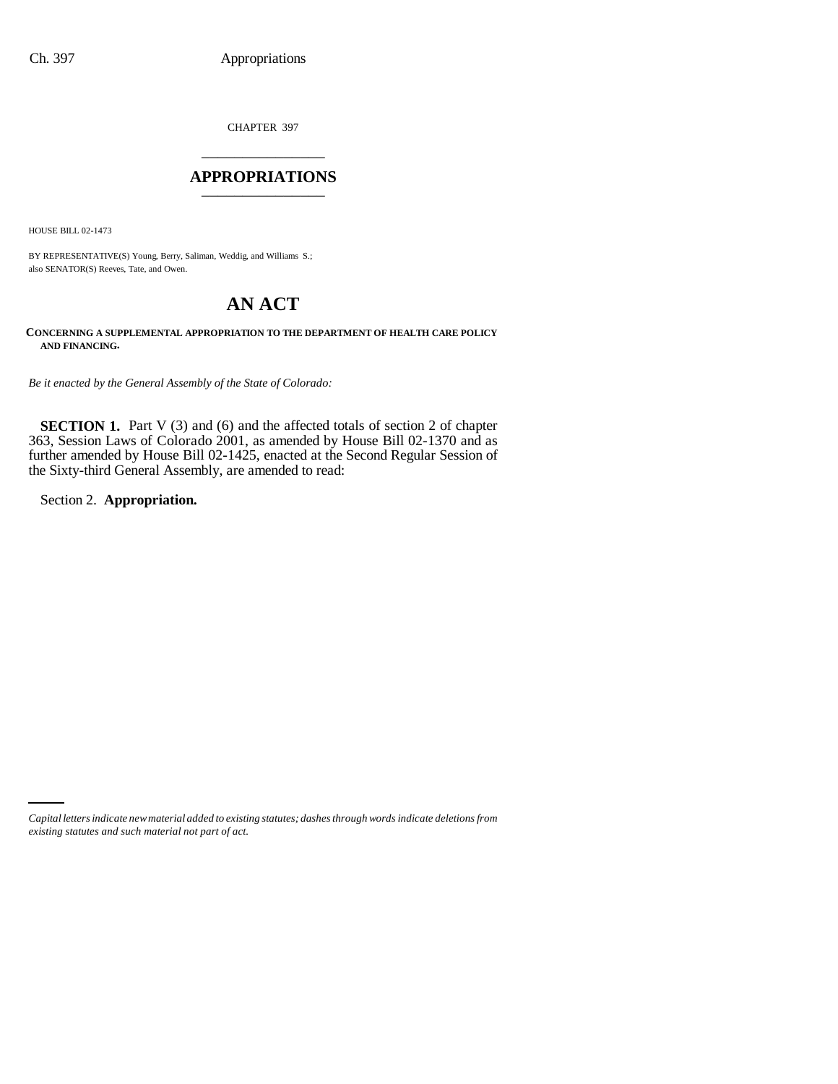CHAPTER 397 \_\_\_\_\_\_\_\_\_\_\_\_\_\_\_

### **APPROPRIATIONS** \_\_\_\_\_\_\_\_\_\_\_\_\_\_\_

HOUSE BILL 02-1473

BY REPRESENTATIVE(S) Young, Berry, Saliman, Weddig, and Williams S.; also SENATOR(S) Reeves, Tate, and Owen.

# **AN ACT**

**CONCERNING A SUPPLEMENTAL APPROPRIATION TO THE DEPARTMENT OF HEALTH CARE POLICY AND FINANCING.**

*Be it enacted by the General Assembly of the State of Colorado:*

**SECTION 1.** Part V (3) and (6) and the affected totals of section 2 of chapter 363, Session Laws of Colorado 2001, as amended by House Bill 02-1370 and as further amended by House Bill 02-1425, enacted at the Second Regular Session of the Sixty-third General Assembly, are amended to read:

Section 2. **Appropriation.**

*Capital letters indicate new material added to existing statutes; dashes through words indicate deletions from existing statutes and such material not part of act.*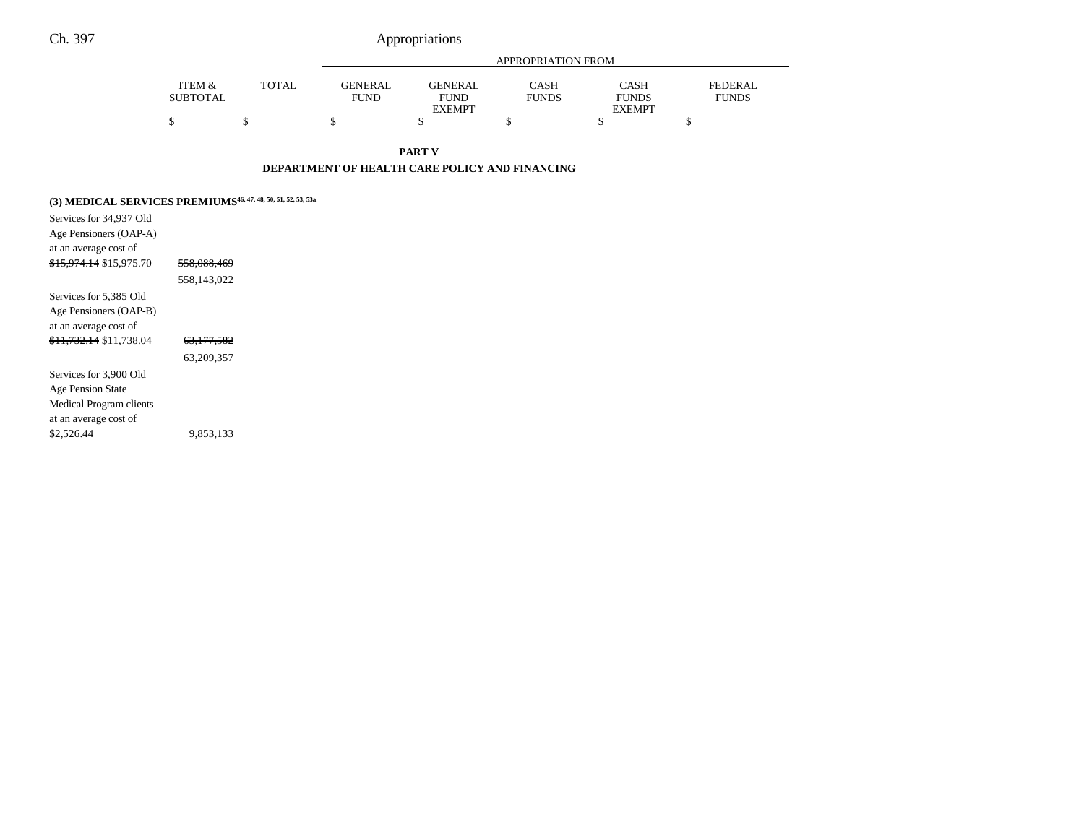|                 |              |                | APPROPRIATION FROM |              |               |              |  |  |
|-----------------|--------------|----------------|--------------------|--------------|---------------|--------------|--|--|
| ITEM &          | <b>TOTAL</b> | <b>GENERAL</b> | GENERAL            | <b>CASH</b>  | CASH          | FEDERAL      |  |  |
| <b>SUBTOTAL</b> |              | <b>FUND</b>    | <b>FUND</b>        | <b>FUNDS</b> | <b>FUNDS</b>  | <b>FUNDS</b> |  |  |
|                 |              |                | <b>EXEMPT</b>      |              | <b>EXEMPT</b> |              |  |  |
|                 |              |                |                    |              |               |              |  |  |

**PART V**

#### **DEPARTMENT OF HEALTH CARE POLICY AND FINANCING**

## **(3) MEDICAL SERVICES PREMIUMS46, 47, 48, 50, 51, 52, 53, 53a**

| Services for 34,937 Old            |                       |  |
|------------------------------------|-----------------------|--|
| Age Pensioners (OAP-A)             |                       |  |
| at an average cost of              |                       |  |
| <del>\$15.974.14</del> \$15.975.70 | 558.088.469           |  |
|                                    | 558.143.022           |  |
| Services for 5.385 Old             |                       |  |
| Age Pensioners (OAP-B)             |                       |  |
| at an average cost of              |                       |  |
| <del>\$11.732.14</del> \$11.738.04 | <del>63.177.582</del> |  |
|                                    | 63,209,357            |  |
| Services for 3.900 Old             |                       |  |
| <b>Age Pension State</b>           |                       |  |
| Medical Program clients            |                       |  |
| at an average cost of              |                       |  |
| \$2.526.44                         | 9.853.133             |  |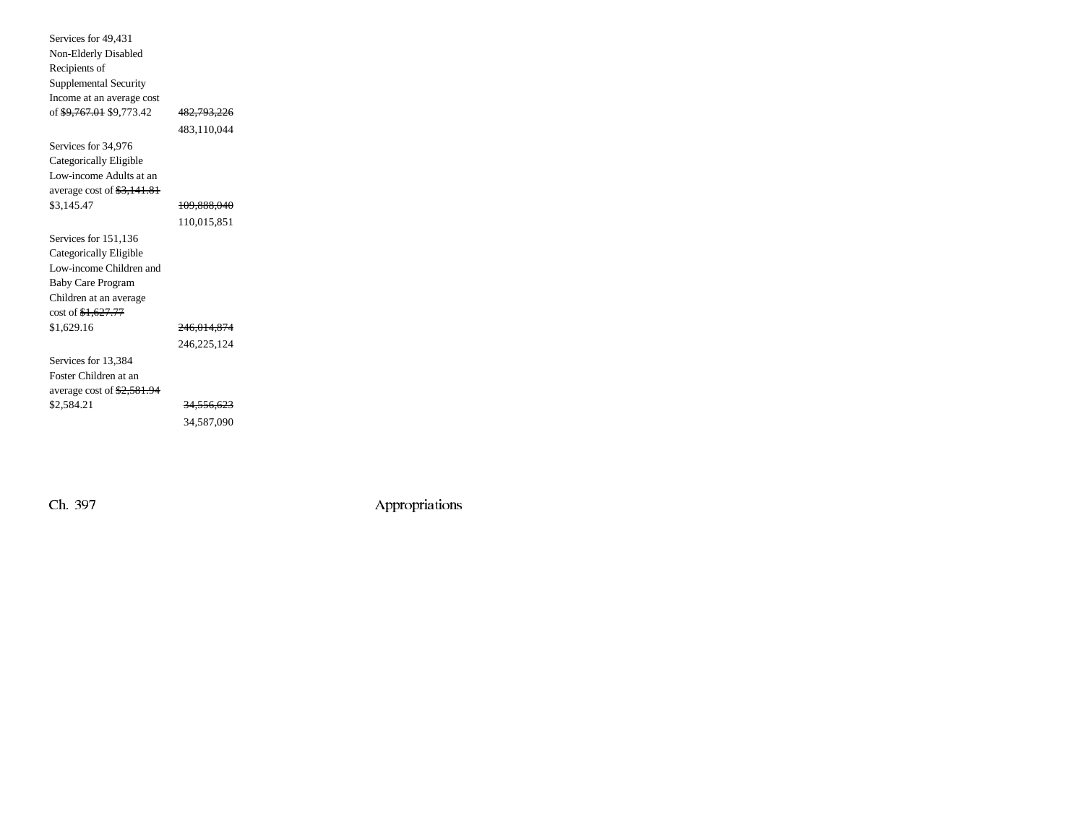| Services for 49,431                         |                        |  |
|---------------------------------------------|------------------------|--|
| Non-Elderly Disabled                        |                        |  |
| Recipients of                               |                        |  |
| Supplemental Security                       |                        |  |
| Income at an average cost                   |                        |  |
| of <del>\$9,767.01</del> \$9,773.42         | <del>482,793,226</del> |  |
|                                             | 483,110,044            |  |
| Services for 34,976                         |                        |  |
| Categorically Eligible                      |                        |  |
| Low-income Adults at an                     |                        |  |
| average cost of $\frac{23,141.81}{2}$       |                        |  |
| \$3,145.47                                  | 109,888,040            |  |
|                                             | 110,015,851            |  |
| Services for 151,136                        |                        |  |
| Categorically Eligible                      |                        |  |
| Low-income Children and                     |                        |  |
| <b>Baby Care Program</b>                    |                        |  |
| Children at an average                      |                        |  |
| cost of \$1,627.77                          |                        |  |
| \$1,629.16                                  | 246,014,874            |  |
|                                             | 246,225,124            |  |
| Services for 13,384                         |                        |  |
| Foster Children at an                       |                        |  |
| average cost of $\frac{2,581.94}{2,581.94}$ |                        |  |
| \$2,584.21                                  | <del>34,556,623</del>  |  |
|                                             | 34.587.090             |  |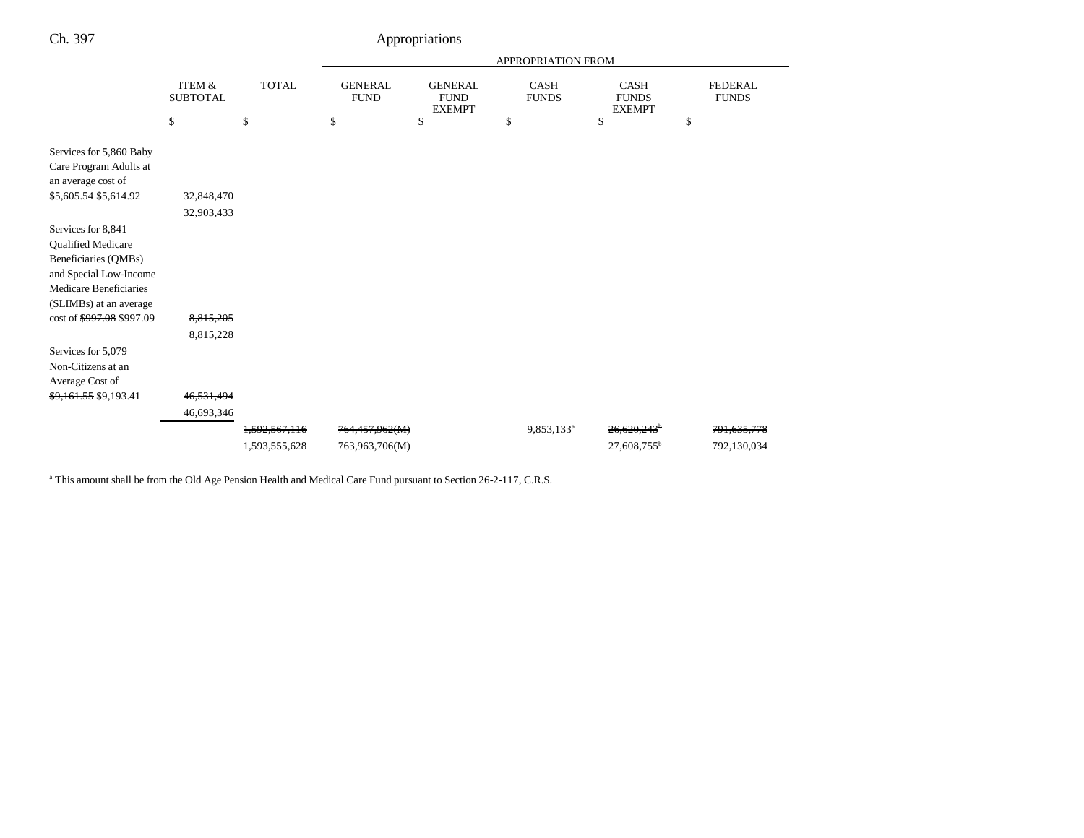|                                                                                                                                                                             |                                       |                                | <b>APPROPRIATION FROM</b>                      |                                                      |                                   |                                                    |                                      |
|-----------------------------------------------------------------------------------------------------------------------------------------------------------------------------|---------------------------------------|--------------------------------|------------------------------------------------|------------------------------------------------------|-----------------------------------|----------------------------------------------------|--------------------------------------|
|                                                                                                                                                                             | ITEM &<br><b>SUBTOTAL</b><br>\$       | <b>TOTAL</b><br>\$             | <b>GENERAL</b><br><b>FUND</b><br><sup>\$</sup> | <b>GENERAL</b><br><b>FUND</b><br><b>EXEMPT</b><br>\$ | <b>CASH</b><br><b>FUNDS</b><br>\$ | <b>CASH</b><br><b>FUNDS</b><br><b>EXEMPT</b><br>\$ | <b>FEDERAL</b><br><b>FUNDS</b><br>\$ |
| Services for 5,860 Baby<br>Care Program Adults at<br>an average cost of<br>\$5,605.54 \$5,614.92                                                                            | 32,848,470<br>32,903,433              |                                |                                                |                                                      |                                   |                                                    |                                      |
| Services for 8,841<br>Qualified Medicare<br>Beneficiaries (QMBs)<br>and Special Low-Income<br>Medicare Beneficiaries<br>(SLIMBs) at an average<br>cost of \$997.08 \$997.09 | 8,815,205                             |                                |                                                |                                                      |                                   |                                                    |                                      |
| Services for 5,079<br>Non-Citizens at an<br>Average Cost of<br><del>\$9,161.55</del> \$9,193.41                                                                             | 8,815,228<br>46,531,494<br>46,693,346 |                                |                                                |                                                      |                                   |                                                    |                                      |
|                                                                                                                                                                             |                                       | 1,592,567,116<br>1,593,555,628 | 764,457,962(M)<br>763,963,706(M)               |                                                      | 9,853,133 <sup>a</sup>            | 26.620.243 <sup>b</sup><br>27,608,755 <sup>b</sup> | 791,635,778<br>792,130,034           |

<sup>a</sup> This amount shall be from the Old Age Pension Health and Medical Care Fund pursuant to Section 26-2-117, C.R.S.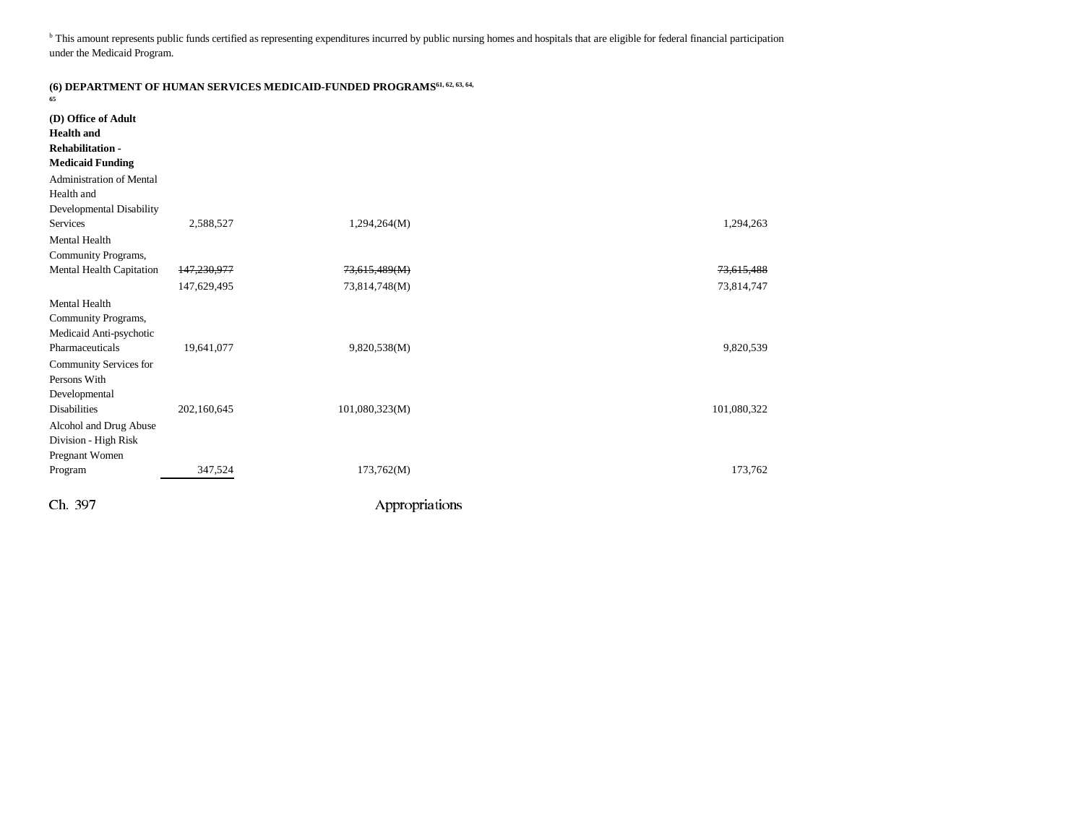<sup>b</sup> This amount represents public funds certified as representing expenditures incurred by public nursing homes and hospitals that are eligible for federal financial participation under the Medicaid Program.

| 65                                                                                            |                            | (6) DEPARTMENT OF HUMAN SERVICES MEDICAID-FUNDED PROGRAMS <sup>61, 62, 63, 64,</sup> |                          |
|-----------------------------------------------------------------------------------------------|----------------------------|--------------------------------------------------------------------------------------|--------------------------|
| (D) Office of Adult<br><b>Health</b> and<br><b>Rehabilitation-</b><br><b>Medicaid Funding</b> |                            |                                                                                      |                          |
| <b>Administration of Mental</b><br>Health and<br>Developmental Disability                     |                            |                                                                                      |                          |
| Services                                                                                      | 2,588,527                  | 1,294,264(M)                                                                         | 1,294,263                |
| Mental Health<br>Community Programs,                                                          |                            |                                                                                      |                          |
| Mental Health Capitation                                                                      | 147,230,977<br>147,629,495 | 73,615,489(M)<br>73,814,748(M)                                                       | 73,615,488<br>73,814,747 |
| Mental Health<br>Community Programs,<br>Medicaid Anti-psychotic<br>Pharmaceuticals            | 19,641,077                 | 9,820,538(M)                                                                         | 9,820,539                |
| Community Services for<br>Persons With<br>Developmental<br><b>Disabilities</b>                | 202,160,645                | 101,080,323(M)                                                                       | 101,080,322              |
| Alcohol and Drug Abuse<br>Division - High Risk<br>Pregnant Women                              |                            |                                                                                      |                          |
| Program                                                                                       | 347,524                    | 173,762(M)                                                                           | 173,762                  |
| Ch. 397                                                                                       |                            | Appropriations                                                                       |                          |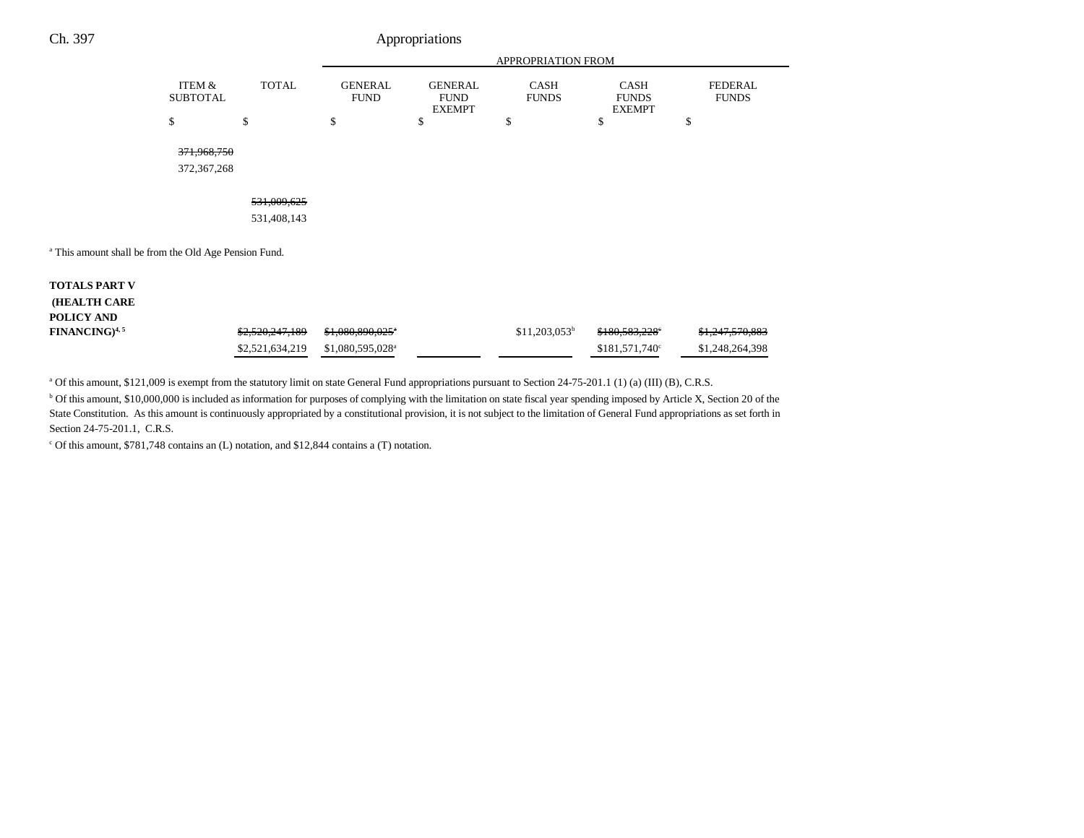| Ch. 397 | Appropriations            |              |                               |                                                |                             |                                              |    |  |
|---------|---------------------------|--------------|-------------------------------|------------------------------------------------|-----------------------------|----------------------------------------------|----|--|
|         |                           |              |                               |                                                | APPROPRIATION FROM          |                                              |    |  |
|         | ITEM &<br><b>SUBTOTAL</b> | <b>TOTAL</b> | <b>GENERAL</b><br><b>FUND</b> | <b>GENERAL</b><br><b>FUND</b><br><b>EXEMPT</b> | <b>CASH</b><br><b>FUNDS</b> | <b>CASH</b><br><b>FUNDS</b><br><b>EXEMPT</b> |    |  |
|         | \$                        | \$           | \$                            | \$                                             | \$                          | \$                                           | \$ |  |
|         | 371,968,750               |              |                               |                                                |                             |                                              |    |  |
|         | 372,367,268               |              |                               |                                                |                             |                                              |    |  |
|         |                           | 531,009,625  |                               |                                                |                             |                                              |    |  |
|         |                           | 531,408,143  |                               |                                                |                             |                                              |    |  |
|         |                           |              |                               |                                                |                             |                                              |    |  |

FEDERAL FUNDS

<sup>a</sup> This amount shall be from the Old Age Pension Fund.

| <b>TOTALS PART V</b>      |                 |                               |                 |                            |                            |
|---------------------------|-----------------|-------------------------------|-----------------|----------------------------|----------------------------|
| <b>HEALTH CARE</b>        |                 |                               |                 |                            |                            |
| POLICY AND                |                 |                               |                 |                            |                            |
| FINANCING) <sup>4,5</sup> | \$2,520,247,189 | <del>\$1,080,890,025</del> *  | $$11,203,053^b$ | <del>\$180,583,228</del> ° | <del>\$1,247,570,883</del> |
|                           | \$2,521,634,219 | $$1.080.595.028$ <sup>a</sup> |                 | $$181,571,740^{\circ}$     | \$1,248,264,398            |

<sup>a</sup> Of this amount, \$121,009 is exempt from the statutory limit on state General Fund appropriations pursuant to Section 24-75-201.1 (1) (a) (III) (B), C.R.S.

<sup>b</sup> Of this amount, \$10,000,000 is included as information for purposes of complying with the limitation on state fiscal year spending imposed by Article X, Section 20 of the State Constitution. As this amount is continuously appropriated by a constitutional provision, it is not subject to the limitation of General Fund appropriations as set forth in Section 24-75-201.1, C.R.S.

c Of this amount, \$781,748 contains an (L) notation, and \$12,844 contains a (T) notation.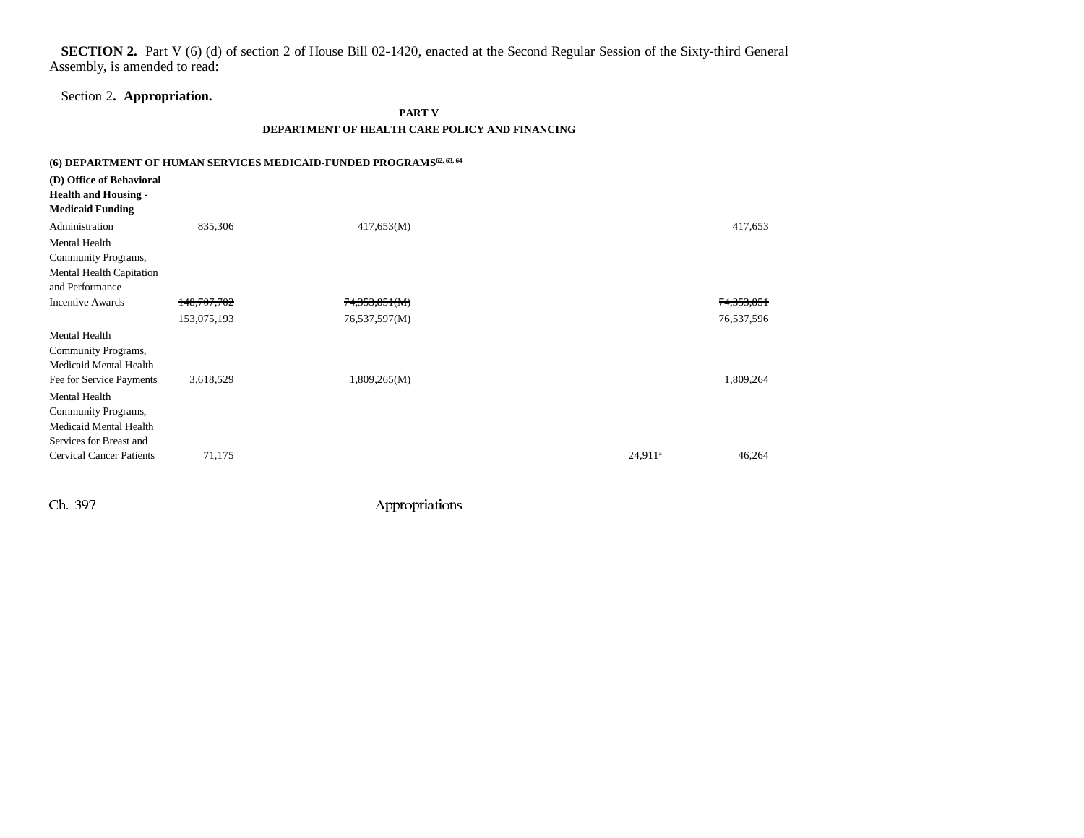**SECTION 2.** Part V (6) (d) of section 2 of House Bill 02-1420, enacted at the Second Regular Session of the Sixty-third General Assembly, is amended to read:

## Section 2**. Appropriation.**

#### **PART V**

### **DEPARTMENT OF HEALTH CARE POLICY AND FINANCING**

|                                                                                            |               | (6) DEPARTMENT OF HUMAN SERVICES MEDICAID-FUNDED PROGRAMS <sup>62, 63, 64</sup> |            |            |
|--------------------------------------------------------------------------------------------|---------------|---------------------------------------------------------------------------------|------------|------------|
| (D) Office of Behavioral<br><b>Health and Housing -</b><br><b>Medicaid Funding</b>         |               |                                                                                 |            |            |
| Administration                                                                             | 835,306       | 417,653(M)                                                                      |            | 417,653    |
| Mental Health<br>Community Programs,<br>Mental Health Capitation<br>and Performance        |               |                                                                                 |            |            |
| <b>Incentive Awards</b>                                                                    | 148, 707, 702 | 74,353,851(M)                                                                   |            | 74,353,851 |
|                                                                                            | 153,075,193   | 76,537,597(M)                                                                   |            | 76,537,596 |
| Mental Health<br>Community Programs,<br>Medicaid Mental Health                             |               |                                                                                 |            |            |
| Fee for Service Payments<br>Mental Health<br>Community Programs,<br>Medicaid Mental Health | 3,618,529     | 1,809,265(M)                                                                    |            | 1,809,264  |
| Services for Breast and<br><b>Cervical Cancer Patients</b>                                 | 71,175        |                                                                                 | $24,911^a$ | 46,264     |

Ch. 397 Appropriations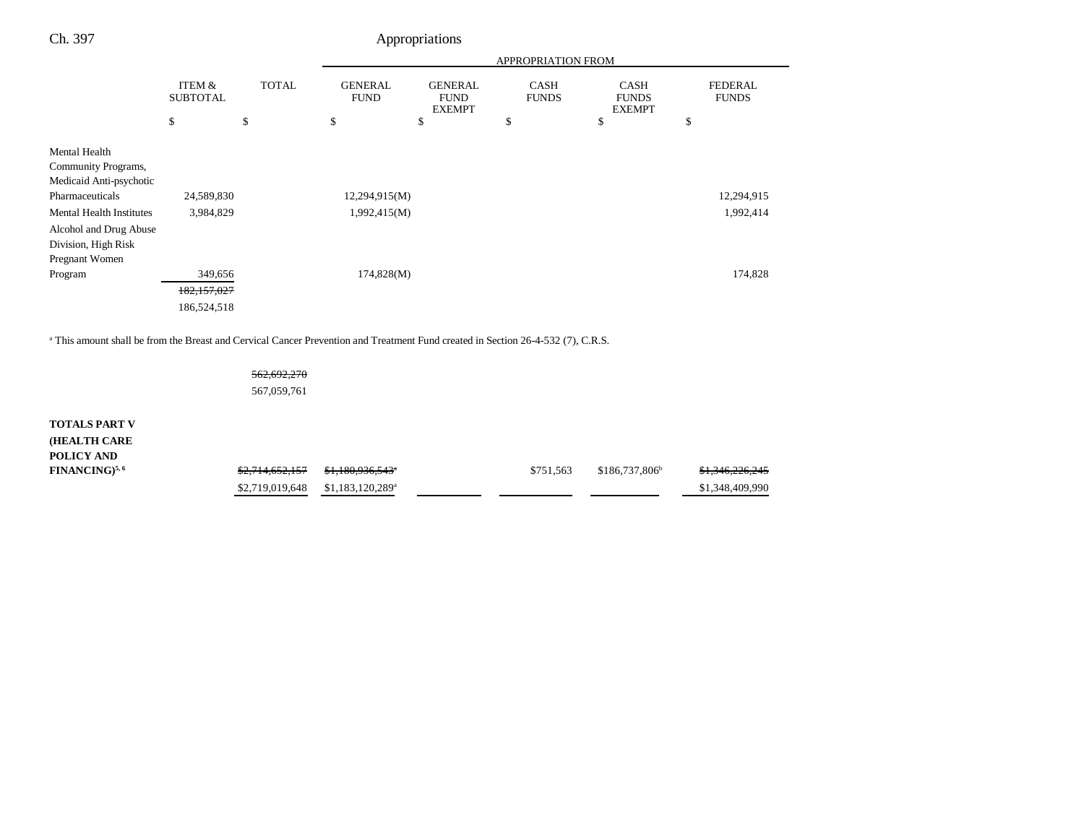|                                                                                                                                                                                          |                                 |                    | <b>APPROPRIATION FROM</b>           |                                                      |                                   |                                                    |                                      |
|------------------------------------------------------------------------------------------------------------------------------------------------------------------------------------------|---------------------------------|--------------------|-------------------------------------|------------------------------------------------------|-----------------------------------|----------------------------------------------------|--------------------------------------|
|                                                                                                                                                                                          | ITEM &<br><b>SUBTOTAL</b><br>\$ | <b>TOTAL</b><br>\$ | <b>GENERAL</b><br><b>FUND</b><br>\$ | <b>GENERAL</b><br><b>FUND</b><br><b>EXEMPT</b><br>\$ | <b>CASH</b><br><b>FUNDS</b><br>\$ | <b>CASH</b><br><b>FUNDS</b><br><b>EXEMPT</b><br>\$ | <b>FEDERAL</b><br><b>FUNDS</b><br>\$ |
|                                                                                                                                                                                          |                                 |                    |                                     |                                                      |                                   |                                                    |                                      |
| Mental Health<br>Community Programs,<br>Medicaid Anti-psychotic<br>Pharmaceuticals<br><b>Mental Health Institutes</b><br>Alcohol and Drug Abuse<br>Division, High Risk<br>Pregnant Women | 24,589,830<br>3,984,829         |                    | 12,294,915(M)<br>1,992,415(M)       |                                                      |                                   |                                                    | 12,294,915<br>1,992,414              |
| Program                                                                                                                                                                                  | 349,656                         |                    | 174,828(M)                          |                                                      |                                   |                                                    | 174,828                              |
|                                                                                                                                                                                          | 182,157,027                     |                    |                                     |                                                      |                                   |                                                    |                                      |
|                                                                                                                                                                                          | 186,524,518                     |                    |                                     |                                                      |                                   |                                                    |                                      |

a This amount shall be from the Breast and Cervical Cancer Prevention and Treatment Fund created in Section 26-4-532 (7), C.R.S.

562,692,270 567,059,761

| <b>TOTALS PART V</b>            |                            |                               |           |                            |                 |
|---------------------------------|----------------------------|-------------------------------|-----------|----------------------------|-----------------|
| <b>(HEALTH CARE)</b>            |                            |                               |           |                            |                 |
| <b>POLICY AND</b>               |                            |                               |           |                            |                 |
| <b>FINANCING</b> <sup>5,6</sup> | <del>\$2,714,652,157</del> | <del>\$1,180,936,543</del> *  | \$751.563 | \$186,737,806 <sup>b</sup> | \$1,346,226,245 |
|                                 | \$2,719,019,648            | $$1,183,120,289$ <sup>a</sup> |           |                            | \$1,348,409,990 |